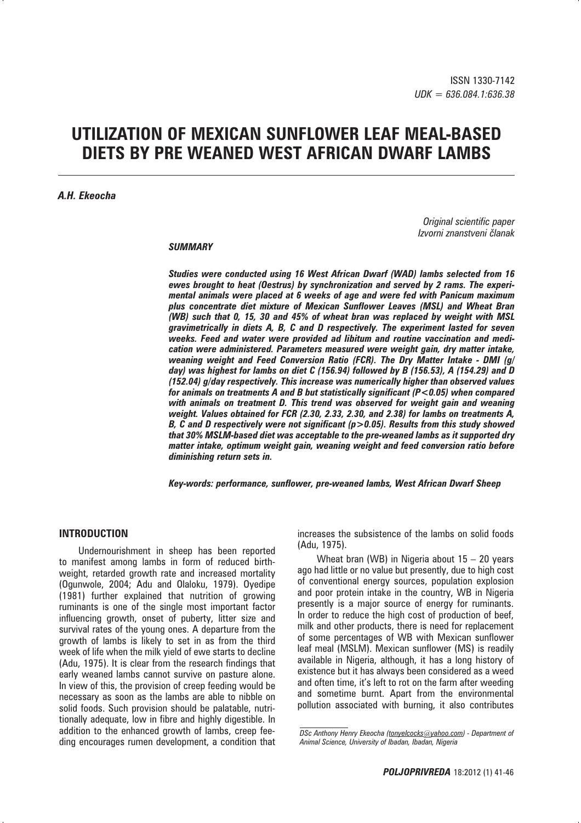# **UTILIZATION OF MEXICAN SUNFLOWER LEAF MEAL-BASED DIETS BY PRE WEANED WEST AFRICAN DWARF LAMBS**

#### *A.H. Ekeocha*

*Original scientific paper Izvorni znanstveni ~lanak*

#### *SUMMARY*

*Studies were conducted using 16 West African Dwarf (WAD) lambs selected from 16 ewes brought to heat (Oestrus) by synchronization and served by 2 rams. The experimental animals were placed at 6 weeks of age and were fed with Panicum maximum plus concentrate diet mixture of Mexican Sunflower Leaves (MSL) and Wheat Bran (WB) such that 0, 15, 30 and 45% of wheat bran was replaced by weight with MSL gravimetrically in diets A, B, C and D respectively. The experiment lasted for seven weeks. Feed and water were provided ad libitum and routine vaccination and medication were administered. Parameters measured were weight gain, dry matter intake, weaning weight and Feed Conversion Ratio (FCR). The Dry Matter Intake - DMI (g/ day) was highest for lambs on diet C (156.94) followed by B (156.53), A (154.29) and D (152.04) g/day respectively. This increase was numerically higher than observed values for animals on treatments A and B but statistically significant (P<0.05) when compared with animals on treatment D. This trend was observed for weight gain and weaning weight. Values obtained for FCR (2.30, 2.33, 2.30, and 2.38) for lambs on treatments A, B, C and D respectively were not significant (p>0.05). Results from this study showed that 30% MSLM-based diet was acceptable to the pre-weaned lambs as it supported dry matter intake, optimum weight gain, weaning weight and feed conversion ratio before diminishing return sets in.*

*Key-words: performance, sunflower, pre-weaned lambs, West African Dwarf Sheep*

# **INTRODUCTION**

Undernourishment in sheep has been reported to manifest among lambs in form of reduced birthweight, retarded growth rate and increased mortality (Ogunwole, 2004; Adu and Olaloku, 1979). Oyedipe (1981) further explained that nutrition of growing ruminants is one of the single most important factor influencing growth, onset of puberty, litter size and survival rates of the young ones. A departure from the growth of lambs is likely to set in as from the third week of life when the milk yield of ewe starts to decline (Adu, 1975). It is clear from the research findings that early weaned lambs cannot survive on pasture alone. In view of this, the provision of creep feeding would be necessary as soon as the lambs are able to nibble on solid foods. Such provision should be palatable, nutritionally adequate, low in fibre and highly digestible. In addition to the enhanced growth of lambs, creep feeding encourages rumen development, a condition that

increases the subsistence of the lambs on solid foods (Adu, 1975).

Wheat bran (WB) in Nigeria about 15 – 20 years ago had little or no value but presently, due to high cost of conventional energy sources, population explosion and poor protein intake in the country, WB in Nigeria presently is a major source of energy for ruminants. In order to reduce the high cost of production of beef, milk and other products, there is need for replacement of some percentages of WB with Mexican sunflower leaf meal (MSLM). Mexican sunflower (MS) is readily available in Nigeria, although, it has a long history of existence but it has always been considered as a weed and often time, it's left to rot on the farm after weeding and sometime burnt. Apart from the environmental pollution associated with burning, it also contributes

*DSc Anthony Henry Ekeocha (tonyelcocks@yahoo.com) - Department of Animal Science, University of Ibadan, Ibadan, Nigeria*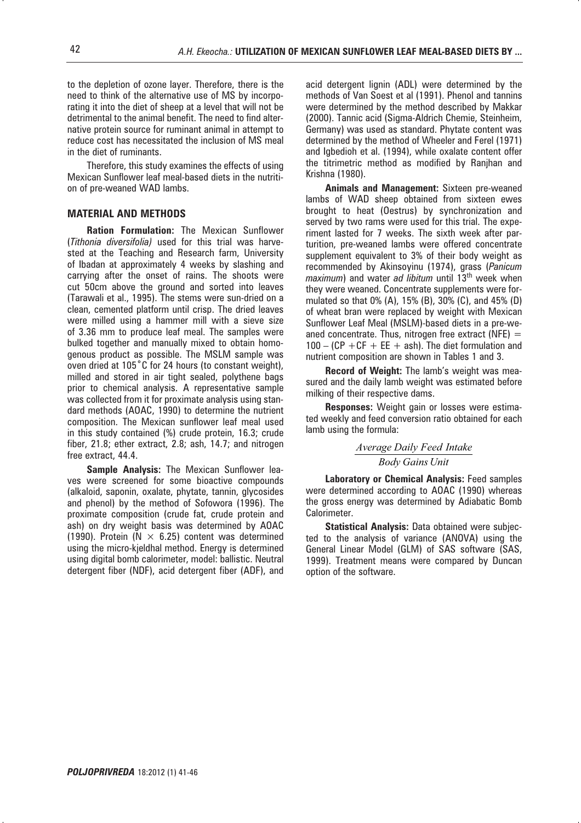to the depletion of ozone layer. Therefore, there is the need to think of the alternative use of MS by incorporating it into the diet of sheep at a level that will not be detrimental to the animal benefit. The need to find alternative protein source for ruminant animal in attempt to reduce cost has necessitated the inclusion of MS meal in the diet of ruminants.

Therefore, this study examines the effects of using Mexican Sunflower leaf meal-based diets in the nutrition of pre-weaned WAD lambs.

### **MATERIAL AND METHODS**

**Ration Formulation:** The Mexican Sunflower (*Tithonia diversifolia)* used for this trial was harvested at the Teaching and Research farm, University of Ibadan at approximately 4 weeks by slashing and carrying after the onset of rains. The shoots were cut 50cm above the ground and sorted into leaves (Tarawali et al., 1995). The stems were sun-dried on a clean, cemented platform until crisp. The dried leaves were milled using a hammer mill with a sieve size of 3.36 mm to produce leaf meal. The samples were bulked together and manually mixed to obtain homogenous product as possible. The MSLM sample was oven dried at 105°C for 24 hours (to constant weight), milled and stored in air tight sealed, polythene bags prior to chemical analysis. A representative sample was collected from it for proximate analysis using standard methods (AOAC, 1990) to determine the nutrient composition. The Mexican sunflower leaf meal used in this study contained (%) crude protein, 16.3; crude fiber, 21.8; ether extract, 2.8; ash, 14.7; and nitrogen free extract, 44.4.

**Sample Analysis:** The Mexican Sunflower leaves were screened for some bioactive compounds (alkaloid, saponin, oxalate, phytate, tannin, glycosides and phenol) by the method of Sofowora (1996). The proximate composition (crude fat, crude protein and ash) on dry weight basis was determined by AOAC (1990). Protein ( $N \times 6.25$ ) content was determined using the micro-kjeldhal method. Energy is determined using digital bomb calorimeter, model: ballistic. Neutral detergent fiber (NDF), acid detergent fiber (ADF), and

acid detergent lignin (ADL) were determined by the methods of Van Soest et al (1991). Phenol and tannins were determined by the method described by Makkar (2000). Tannic acid (Sigma-Aldrich Chemie, Steinheim, Germany) was used as standard. Phytate content was determined by the method of Wheeler and Ferel (1971) and Igbedioh et al. (1994), while oxalate content offer the titrimetric method as modified by Ranjhan and Krishna (1980).

**Animals and Management:** Sixteen pre-weaned lambs of WAD sheep obtained from sixteen ewes brought to heat (Oestrus) by synchronization and served by two rams were used for this trial. The experiment lasted for 7 weeks. The sixth week after parturition, pre-weaned lambs were offered concentrate supplement equivalent to 3% of their body weight as recommended by Akinsoyinu (1974), grass (*Panicum maximum*) and water *ad libitum* until 13<sup>th</sup> week when they were weaned. Concentrate supplements were formulated so that 0% (A), 15% (B), 30% (C), and 45% (D) of wheat bran were replaced by weight with Mexican Sunflower Leaf Meal (MSLM)-based diets in a pre-weaned concentrate. Thus, nitrogen free extract (NFE)  $=$  $100 - (CP + CF + EE + ash)$ . The diet formulation and nutrient composition are shown in Tables 1 and 3.

**Record of Weight:** The lamb's weight was measured and the daily lamb weight was estimated before milking of their respective dams.

**Responses:** Weight gain or losses were estimated weekly and feed conversion ratio obtained for each lamb using the formula:

> *Body Gains Unit Average Daily Feed Intake*

**Laboratory or Chemical Analysis:** Feed samples were determined according to AOAC (1990) whereas the gross energy was determined by Adiabatic Bomb Calorimeter.

**Statistical Analysis:** Data obtained were subjected to the analysis of variance (ANOVA) using the General Linear Model (GLM) of SAS software (SAS, 1999). Treatment means were compared by Duncan option of the software.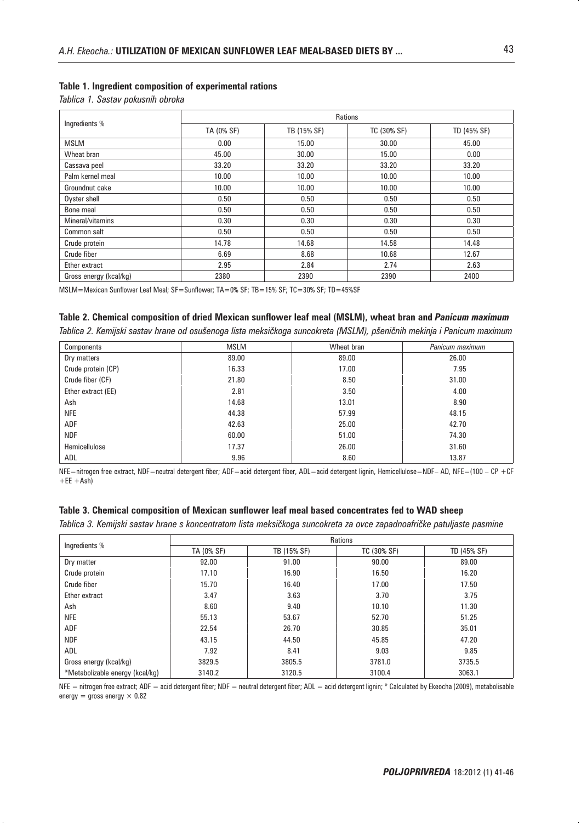#### **Table 1. Ingredient composition of experimental rations**

*Tablica 1. Sastav pokusnih obroka*

| Ingredients %          | Rations    |             |             |             |  |
|------------------------|------------|-------------|-------------|-------------|--|
|                        | TA (0% SF) | TB (15% SF) | TC (30% SF) | TD (45% SF) |  |
| <b>MSLM</b>            | 0.00       | 15.00       | 30.00       | 45.00       |  |
| Wheat bran             | 45.00      | 30.00       | 15.00       | 0.00        |  |
| Cassava peel           | 33.20      | 33.20       | 33.20       | 33.20       |  |
| Palm kernel meal       | 10.00      | 10.00       | 10.00       | 10.00       |  |
| Groundnut cake         | 10.00      | 10.00       | 10.00       | 10.00       |  |
| Oyster shell           | 0.50       | 0.50        | 0.50        | 0.50        |  |
| Bone meal              | 0.50       | 0.50        | 0.50        | 0.50        |  |
| Mineral/vitamins       | 0.30       | 0.30        | 0.30        | 0.30        |  |
| Common salt            | 0.50       | 0.50        | 0.50        | 0.50        |  |
| Crude protein          | 14.78      | 14.68       | 14.58       | 14.48       |  |
| Crude fiber            | 6.69       | 8.68        | 10.68       | 12.67       |  |
| Ether extract          | 2.95       | 2.84        | 2.74        | 2.63        |  |
| Gross energy (kcal/kg) | 2380       | 2390        | 2390        | 2400        |  |

MSLM=Mexican Sunflower Leaf Meal; SF=Sunflower; TA=0% SF; TB=15% SF; TC=30% SF; TD=45%SF

# **Table 2. Chemical composition of dried Mexican sunflower leaf meal (MSLM), wheat bran and** *Panicum maximum*

Tablica 2. Kemijski sastav hrane od osušenoga lista meksičkoga suncokreta (MSLM), pšeničnih mekinja i Panicum maximum

| Components         | <b>MSLM</b> | Wheat bran | Panicum maximum |
|--------------------|-------------|------------|-----------------|
| Dry matters        | 89.00       | 89.00      | 26.00           |
| Crude protein (CP) | 16.33       | 17.00      | 7.95            |
| Crude fiber (CF)   | 21.80       | 8.50       | 31.00           |
| Ether extract (EE) | 2.81        | 3.50       | 4.00            |
| Ash                | 14.68       | 13.01      | 8.90            |
| <b>NFE</b>         | 44.38       | 57.99      | 48.15           |
| <b>ADF</b>         | 42.63       | 25.00      | 42.70           |
| <b>NDF</b>         | 60.00       | 51.00      | 74.30           |
| Hemicellulose      | 17.37       | 26.00      | 31.60           |
| <b>ADL</b>         | 9.96        | 8.60       | 13.87           |

NFE=nitrogen free extract, NDF=neutral detergent fiber; ADF=acid detergent fiber, ADL=acid detergent lignin, Hemicellulose=NDF– AD, NFE=(100 – CP +CF  $+EE$  +Ash)

#### **Table 3. Chemical composition of Mexican sunflower leaf meal based concentrates fed to WAD sheep**

Tablica 3. Kemijski sastav hrane s koncentratom lista meksičkoga suncokreta za ovce zapadnoafričke patuljaste pasmine

| Ingredients %                   | <b>Rations</b> |             |             |             |  |
|---------------------------------|----------------|-------------|-------------|-------------|--|
|                                 | TA (0% SF)     | TB (15% SF) | TC (30% SF) | TD (45% SF) |  |
| Dry matter                      | 92.00          | 91.00       | 90.00       | 89.00       |  |
| Crude protein                   | 17.10          | 16.90       | 16.50       | 16.20       |  |
| Crude fiber                     | 15.70          | 16.40       | 17.00       | 17.50       |  |
| Ether extract                   | 3.47           | 3.63        | 3.70        | 3.75        |  |
| Ash                             | 8.60           | 9.40        | 10.10       | 11.30       |  |
| <b>NFE</b>                      | 55.13          | 53.67       | 52.70       | 51.25       |  |
| ADF                             | 22.54          | 26.70       | 30.85       | 35.01       |  |
| <b>NDF</b>                      | 43.15          | 44.50       | 45.85       | 47.20       |  |
| ADL                             | 7.92           | 8.41        | 9.03        | 9.85        |  |
| Gross energy (kcal/kg)          | 3829.5         | 3805.5      | 3781.0      | 3735.5      |  |
| *Metabolizable energy (kcal/kg) | 3140.2         | 3120.5      | 3100.4      | 3063.1      |  |

NFE = nitrogen free extract; ADF = acid detergent fiber; NDF = neutral detergent fiber; ADL = acid detergent lignin; \* Calculated by Ekeocha (2009), metabolisable energy = gross energy  $\times$  0.82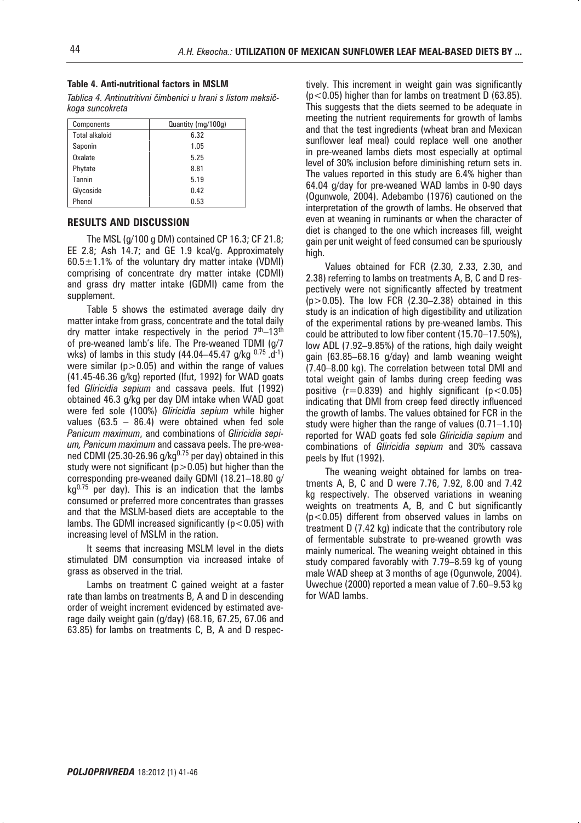#### **Table 4. Anti-nutritional factors in MSLM**

Tablica 4. Antinutritivni čimbenici u hrani s listom meksič*koga suncokreta*

| Components            | Quantity (mg/100g) |
|-----------------------|--------------------|
| <b>Total alkaloid</b> | 6.32               |
| Saponin               | 1.05               |
| Oxalate               | 5.25               |
| Phytate               | 8.81               |
| Tannin                | 5.19               |
| Glycoside             | 0.42               |
| Phenol                | 0.53               |

# **RESULTS AND DISCUSSION**

The MSL (g/100 g DM) contained CP 16.3; CF 21.8; EE 2.8; Ash 14.7; and GE 1.9 kcal/g. Approximately  $60.5 \pm 1.1\%$  of the voluntary dry matter intake (VDMI) comprising of concentrate dry matter intake (CDMI) and grass dry matter intake (GDMI) came from the supplement.

Table 5 shows the estimated average daily dry matter intake from grass, concentrate and the total daily dry matter intake respectively in the period  $7<sup>th</sup>-13<sup>th</sup>$ of pre-weaned lamb's life. The Pre-weaned TDMI (g/7 wks) of lambs in this study (44.04–45.47 g/kg  $0.75$  .d<sup>-1</sup>) were similar ( $p > 0.05$ ) and within the range of values (41.45-46.36 g/kg) reported (Ifut, 1992) for WAD goats fed *Gliricidia sepium* and cassava peels. Ifut (1992) obtained 46.3 g/kg per day DM intake when WAD goat were fed sole (100%) *Gliricidia sepium* while higher values (63.5 – 86.4) were obtained when fed sole *Panicum maximum*, and combinations of *Gliricidia sepium, Panicum maximum* and cassava peels. The pre-weaned CDMI (25.30-26.96 g/kg $^{0.75}$  per day) obtained in this study were not significant ( $p > 0.05$ ) but higher than the corresponding pre-weaned daily GDMI (18.21–18.80 g/  $kg<sup>0.75</sup>$  per day). This is an indication that the lambs consumed or preferred more concentrates than grasses and that the MSLM-based diets are acceptable to the lambs. The GDMI increased significantly ( $p < 0.05$ ) with increasing level of MSLM in the ration.

It seems that increasing MSLM level in the diets stimulated DM consumption via increased intake of grass as observed in the trial.

Lambs on treatment C gained weight at a faster rate than lambs on treatments B, A and D in descending order of weight increment evidenced by estimated average daily weight gain (g/day) (68.16, 67.25, 67.06 and 63.85) for lambs on treatments C, B, A and D respectively. This increment in weight gain was significantly (p<0.05) higher than for lambs on treatment D (63.85). This suggests that the diets seemed to be adequate in meeting the nutrient requirements for growth of lambs and that the test ingredients (wheat bran and Mexican sunflower leaf meal) could replace well one another in pre-weaned lambs diets most especially at optimal level of 30% inclusion before diminishing return sets in. The values reported in this study are 6.4% higher than 64.04 g/day for pre-weaned WAD lambs in 0-90 days (Ogunwole, 2004). Adebambo (1976) cautioned on the interpretation of the growth of lambs. He observed that even at weaning in ruminants or when the character of diet is changed to the one which increases fill, weight gain per unit weight of feed consumed can be spuriously high.

Values obtained for FCR (2.30, 2.33, 2.30, and 2.38) referring to lambs on treatments A, B, C and D respectively were not significantly affected by treatment (p*>*0.05). The low FCR (2.30–2.38) obtained in this study is an indication of high digestibility and utilization of the experimental rations by pre-weaned lambs. This could be attributed to low fiber content (15.70–17.50%), low ADL (7.92–9.85%) of the rations, high daily weight gain (63.85–68.16 g/day) and lamb weaning weight (7.40–8.00 kg). The correlation between total DMI and total weight gain of lambs during creep feeding was positive  $(r=0.839)$  and highly significant ( $p < 0.05$ ) indicating that DMI from creep feed directly influenced the growth of lambs. The values obtained for FCR in the study were higher than the range of values (0.71–1.10) reported for WAD goats fed sole *Gliricidia sepium* and combinations of *Gliricidia sepium* and 30% cassava peels by Ifut (1992).

The weaning weight obtained for lambs on treatments A, B, C and D were 7.76, 7.92, 8.00 and 7.42 kg respectively. The observed variations in weaning weights on treatments A, B, and C but significantly (p*<*0.05) different from observed values in lambs on treatment D (7.42 kg) indicate that the contributory role of fermentable substrate to pre-weaned growth was mainly numerical. The weaning weight obtained in this study compared favorably with 7.79–8.59 kg of young male WAD sheep at 3 months of age (Ogunwole, 2004). Uwechue (2000) reported a mean value of 7.60–9.53 kg for WAD lambs.